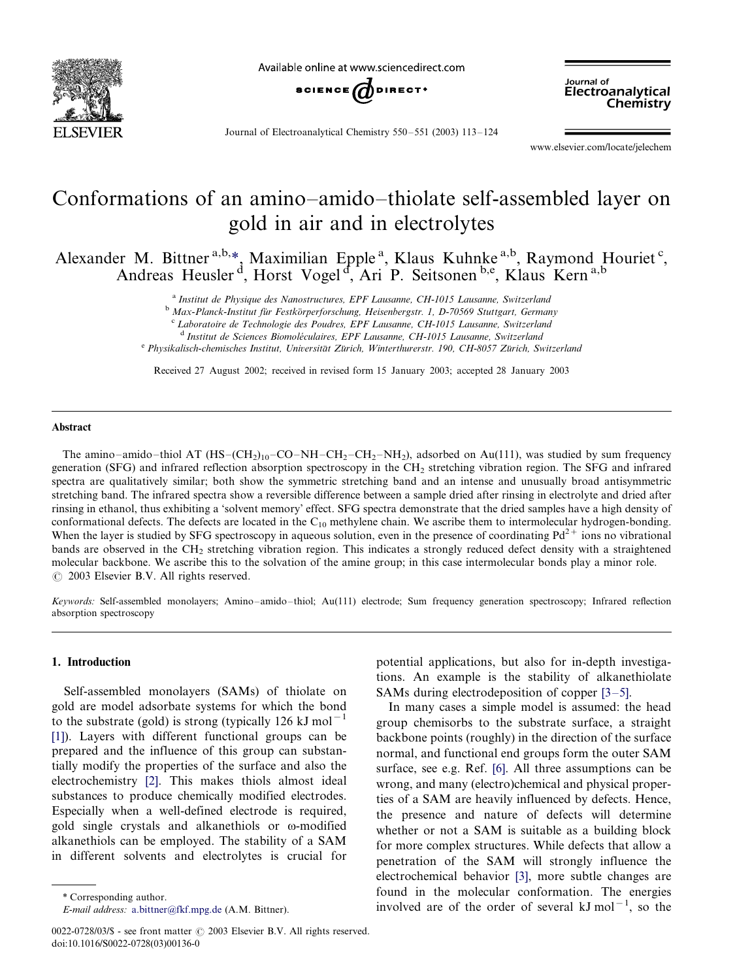

Available online at www sciencedirect com



Journal of Electroanalytical Chemistry 550-551 (2003) 113-124

www.elsevier.com/locate/jelechem

Electroanalytical Chemistry

Journal of

# Conformations of an amino-amido-thiolate self-assembled layer on gold in air and in electrolytes

Alexander M. Bittner<sup>a,b,\*</sup>, Maximilian Epple<sup>a</sup>, Klaus Kuhnke<sup>a,b</sup>, Raymond Houriet<sup>c</sup>, Andreas Heusler<sup>d</sup>, Horst Vogel<sup>d</sup>, Ari P. Seitsonen b,e, Klaus Kern a,b

<sup>a</sup> Institut de Physique des Nanostructures, EPF Lausanne, CH-1015 Lausanne, Switzerland

<sup>b</sup> Max-Planck-Institut für Festkörperforschung, Heisenbergstr. 1, D-70569 Stuttgart, Germany <sup>c</sup> Laboratoire de Technologie des Poudres, EPF Lausanne, CH-1015 Lausanne, Switzerland

<sup>d</sup> Institut de Sciences Biomoléculaires, EPF Lausanne, CH-1015 Lausanne, Switzerland

e Physikalisch-chemisches Institut, Universität Zürich, Winterthurerstr. 190, CH-8057 Zürich, Switzerland

Received 27 August 2002; received in revised form 15 January 2003; accepted 28 January 2003

### Abstract

The amino-amido-thiol AT  $(HS-(CH_2)_{10} - CO-NH-CH_2-CH_2-NH_2)$ , adsorbed on Au(111), was studied by sum frequency generation (SFG) and infrared reflection absorption spectroscopy in the CH2 stretching vibration region. The SFG and infrared spectra are qualitatively similar; both show the symmetric stretching band and an intense and unusually broad antisymmetric stretching band. The infrared spectra show a reversible difference between a sample dried after rinsing in electrolyte and dried after rinsing in ethanol, thus exhibiting a 'solvent memory' effect. SFG spectra demonstrate that the dried samples have a high density of conformational defects. The defects are located in the  $C_{10}$  methylene chain. We ascribe them to intermolecular hydrogen-bonding. When the layer is studied by SFG spectroscopy in aqueous solution, even in the presence of coordinating  $Pd^{2+}$  ions no vibrational bands are observed in the CH2 stretching vibration region. This indicates a strongly reduced defect density with a straightened molecular backbone. We ascribe this to the solvation of the amine group; in this case intermolecular bonds play a minor role.  $\odot$  2003 Elsevier B.V. All rights reserved.

Keywords: Self-assembled monolayers; Amino-amido-thiol; Au(111) electrode; Sum frequency generation spectroscopy; Infrared reflection absorption spectroscopy

## 1. Introduction

Self-assembled monolayers (SAMs) of thiolate on gold are model adsorbate systems for which the bond to the substrate (gold) is strong (typically 126 kJ mol<sup>-1</sup> [\[1\]](#page-10-0)). Layers with different functional groups can be prepared and the influence of this group can substantially modify the properties of the surface and also the electrochemistry [\[2\]](#page-10-0). This makes thiols almost ideal substances to produce chemically modified electrodes. Especially when a well-defined electrode is required, gold single crystals and alkanethiols or  $\omega$ -modified alkanethiols can be employed. The stability of a SAM in different solvents and electrolytes is crucial for

E-mail address: [a.bittner@fkf.mpg.de](mailto:a.bittner@fkf.mpg.de) (A.M. Bittner).

potential applications, but also for in-depth investigations. An example is the stability of alkanethiolate SAMs during electrodeposition of copper  $[3-5]$  $[3-5]$ .

In many cases a simple model is assumed: the head group chemisorbs to the substrate surface, a straight backbone points (roughly) in the direction of the surface normal, and functional end groups form the outer SAM surface, see e.g. Ref. [\[6\]](#page-10-0). All three assumptions can be wrong, and many (electro)chemical and physical properties of a SAM are heavily influenced by defects. Hence, the presence and nature of defects will determine whether or not a SAM is suitable as a building block for more complex structures. While defects that allow a penetration of the SAM will strongly influence the electrochemical behavior [\[3\]](#page-10-0), more subtle changes are found in the molecular conformation. The energies \* Corresponding author.<br> *E-mail address:* a.bittner@fkf.mpg.de (A.M. Bittner). involved are of the order of several kJ mol<sup>-1</sup>, so the

 $0022-0728/03/\$  - see front matter  $\odot$  2003 Elsevier B.V. All rights reserved. doi:10.1016/S0022-0728(03)00136-0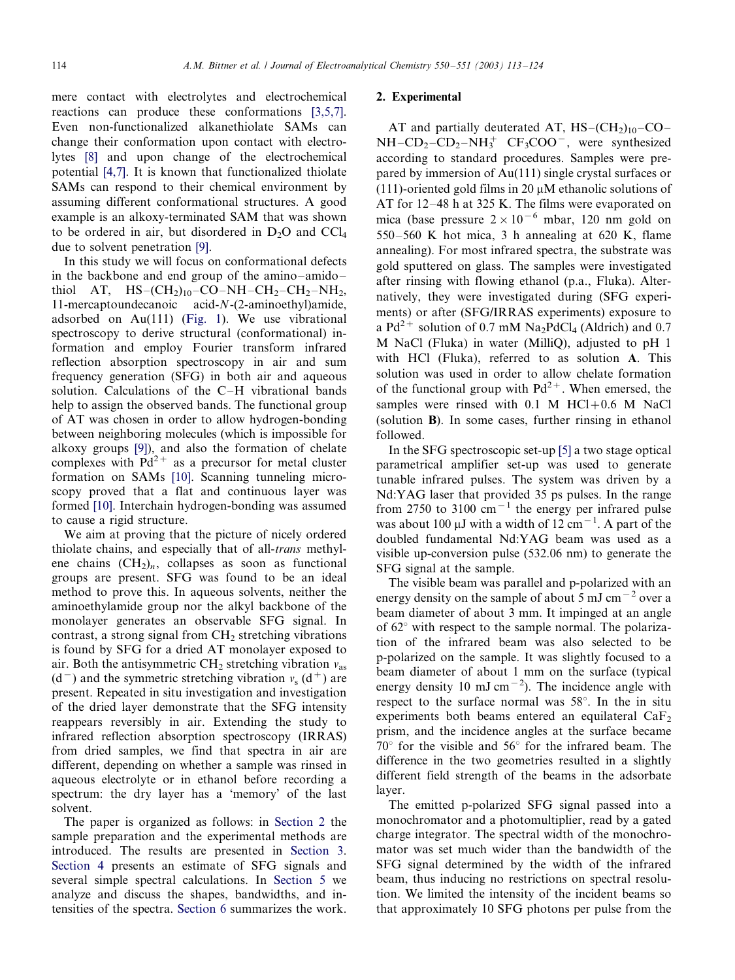<span id="page-1-0"></span>mere contact with electrolytes and electrochemical reactions can produce these conformations [\[3,5,7\]](#page-10-0). Even non-functionalized alkanethiolate SAMs can change their conformation upon contact with electrolytes [\[8\]](#page-10-0) and upon change of the electrochemical potential [\[4,7\].](#page-10-0) It is known that functionalized thiolate SAMs can respond to their chemical environment by assuming different conformational structures. A good example is an alkoxy-terminated SAM that was shown to be ordered in air, but disordered in  $D_2O$  and  $CCl_4$ due to solvent penetration [\[9\]](#page-10-0).

In this study we will focus on conformational defects in the backbone and end group of the amino-amidothiol AT,  $HS-(CH<sub>2</sub>)<sub>10</sub>-CO-NH-CH<sub>2</sub>-CH<sub>2</sub>-NH<sub>2</sub>$ , 11-mercaptoundecanoic acid-N-(2-aminoethyl)amide, adsorbed on Au(111) ([Fig. 1\)](#page-2-0). We use vibrational spectroscopy to derive structural (conformational) information and employ Fourier transform infrared reflection absorption spectroscopy in air and sum frequency generation (SFG) in both air and aqueous solution. Calculations of the C-H vibrational bands help to assign the observed bands. The functional group of AT was chosen in order to allow hydrogen-bonding between neighboring molecules (which is impossible for alkoxy groups [\[9\]](#page-10-0)), and also the formation of chelate complexes with  $Pd^{2+}$  as a precursor for metal cluster formation on SAMs [\[10\].](#page-10-0) Scanning tunneling microscopy proved that a flat and continuous layer was formed [\[10\]](#page-10-0). Interchain hydrogen-bonding was assumed to cause a rigid structure.

We aim at proving that the picture of nicely ordered thiolate chains, and especially that of all-trans methylene chains  $(CH_2)_n$ , collapses as soon as functional groups are present. SFG was found to be an ideal method to prove this. In aqueous solvents, neither the aminoethylamide group nor the alkyl backbone of the monolayer generates an observable SFG signal. In contrast, a strong signal from  $CH<sub>2</sub>$  stretching vibrations is found by SFG for a dried AT monolayer exposed to air. Both the antisymmetric  $\text{CH}_2$  stretching vibration  $v_{\text{as}}$  $(d^-)$  and the symmetric stretching vibration  $v_s$   $(d^+)$  are present. Repeated in situ investigation and investigation of the dried layer demonstrate that the SFG intensity reappears reversibly in air. Extending the study to infrared reflection absorption spectroscopy (IRRAS) from dried samples, we find that spectra in air are different, depending on whether a sample was rinsed in aqueous electrolyte or in ethanol before recording a spectrum: the dry layer has a 'memory' of the last solvent.

The paper is organized as follows: in Section 2 the sample preparation and the experimental methods are introduced. The results are presented in [Section 3](#page-3-0). [Section 4](#page-4-0) presents an estimate of SFG signals and several simple spectral calculations. In [Section 5](#page-8-0) we analyze and discuss the shapes, bandwidths, and intensities of the spectra. [Section 6](#page-10-0) summarizes the work.

## 2. Experimental

AT and partially deuterated AT,  $HS-(CH<sub>2</sub>)<sub>10</sub>-CO NH - CD_2 - CD_2 - NH_3^+$   $CF_3COO^-$ , were synthesized according to standard procedures. Samples were prepared by immersion of Au(111) single crystal surfaces or (111)-oriented gold films in 20  $\mu$ M ethanolic solutions of AT for  $12-48$  h at 325 K. The films were evaporated on mica (base pressure  $2 \times 10^{-6}$  mbar, 120 nm gold on  $550-560$  K hot mica, 3 h annealing at 620 K, flame annealing). For most infrared spectra, the substrate was gold sputtered on glass. The samples were investigated after rinsing with flowing ethanol (p.a., Fluka). Alternatively, they were investigated during (SFG experiments) or after (SFG/IRRAS experiments) exposure to a  $Pd^{2+}$  solution of 0.7 mM  $Na_2PdCl_4$  (Aldrich) and 0.7 M NaCl (Fluka) in water (MilliQ), adjusted to pH 1 with HCl (Fluka), referred to as solution A. This solution was used in order to allow chelate formation of the functional group with  $Pd^{2+}$ . When emersed, the samples were rinsed with  $0.1$  M HCl+0.6 M NaCl (solution B). In some cases, further rinsing in ethanol followed.

In the SFG spectroscopic set-up [\[5\]](#page-10-0) a two stage optical parametrical amplifier set-up was used to generate tunable infrared pulses. The system was driven by a Nd:YAG laser that provided 35 ps pulses. In the range from 2750 to 3100  $\text{cm}^{-1}$  the energy per infrared pulse was about 100  $\mu$ J with a width of 12 cm<sup>-1</sup>. A part of the doubled fundamental Nd:YAG beam was used as a visible up-conversion pulse (532.06 nm) to generate the SFG signal at the sample.

The visible beam was parallel and p-polarized with an energy density on the sample of about 5 mJ cm<sup> $-2$ </sup> over a beam diameter of about 3 mm. It impinged at an angle of  $62^{\circ}$  with respect to the sample normal. The polarization of the infrared beam was also selected to be p-polarized on the sample. It was slightly focused to a beam diameter of about 1 mm on the surface (typical energy density 10 mJ cm<sup>-2</sup>). The incidence angle with respect to the surface normal was  $58^\circ$ . In the in situ experiments both beams entered an equilateral  $CaF<sub>2</sub>$ prism, and the incidence angles at the surface became  $70^{\circ}$  for the visible and  $56^{\circ}$  for the infrared beam. The difference in the two geometries resulted in a slightly different field strength of the beams in the adsorbate layer.

The emitted p-polarized SFG signal passed into a monochromator and a photomultiplier, read by a gated charge integrator. The spectral width of the monochromator was set much wider than the bandwidth of the SFG signal determined by the width of the infrared beam, thus inducing no restrictions on spectral resolution. We limited the intensity of the incident beams so that approximately 10 SFG photons per pulse from the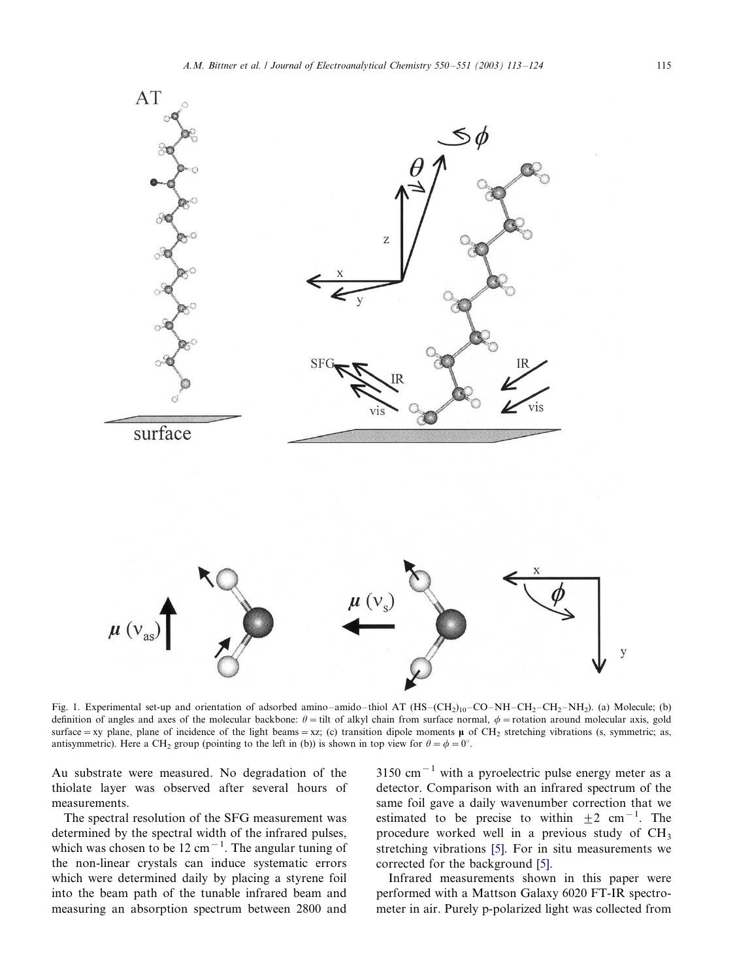<span id="page-2-0"></span>

Fig. 1. Experimental set-up and orientation of adsorbed amino-amido-thiol AT (HS-(CH<sub>2)10</sub>-CO-NH-CH<sub>2</sub>-CH<sub>2</sub>-NH<sub>2</sub>). (a) Molecule; (b) definition of angles and axes of the molecular backbone:  $\theta$  = tilt of alkyl chain from surface normal,  $\phi$  = rotation around molecular axis, gold surface = xy plane, plane of incidence of the light beams = xz; (c) transition dipole moments  $\mu$  of CH<sub>2</sub> stretching vibrations (s, symmetric; as, antisymmetric). Here a CH<sub>2</sub> group (pointing to the left in (b)) is shown in top view for  $\theta = \phi = 0^{\circ}$ .

Au substrate were measured. No degradation of the thiolate layer was observed after several hours of measurements.

The spectral resolution of the SFG measurement was determined by the spectral width of the infrared pulses, which was chosen to be  $12 \text{ cm}^{-1}$ . The angular tuning of the non-linear crystals can induce systematic errors which were determined daily by placing a styrene foil into the beam path of the tunable infrared beam and measuring an absorption spectrum between 2800 and  $3150 \text{ cm}^{-1}$  with a pyroelectric pulse energy meter as a detector. Comparison with an infrared spectrum of the same foil gave a daily wavenumber correction that we estimated to be precise to within  $\pm 2$  cm<sup>-1</sup>. The procedure worked well in a previous study of CH3 stretching vibrations [\[5\]](#page-10-0). For in situ measurements we corrected for the background [\[5\]](#page-10-0).

Infrared measurements shown in this paper were performed with a Mattson Galaxy 6020 FT-IR spectrometer in air. Purely p-polarized light was collected from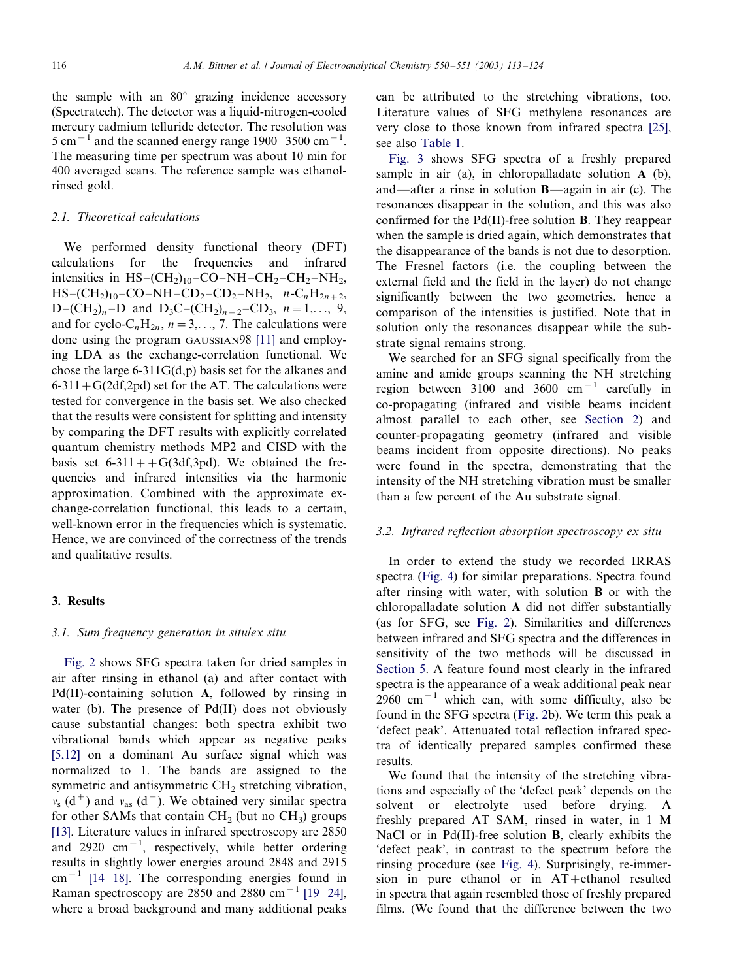<span id="page-3-0"></span>the sample with an  $80^\circ$  grazing incidence accessory (Spectratech). The detector was a liquid-nitrogen-cooled mercury cadmium telluride detector. The resolution was 5 cm<sup> $-1$ </sup> and the scanned energy range 1900–3500 cm<sup>-1</sup>. The measuring time per spectrum was about 10 min for 400 averaged scans. The reference sample was ethanolrinsed gold.

## 2.1. Theoretical calculations

We performed density functional theory (DFT) calculations for the frequencies and infrared intensities in  $HS-(CH<sub>2</sub>)<sub>10</sub> - CO-NH-CH<sub>2</sub>-CH<sub>2</sub>-NH<sub>2</sub>$ ,  $HS-(CH_2)_{10}-CO-NH-CD_2-CD_2-NH_2$ ,  $n-C_nH_{2n+2}$ , D-(CH<sub>2</sub>)<sub>n</sub>-D and D<sub>3</sub>C-(CH<sub>2</sub>)<sub>n-2</sub>-CD<sub>3</sub>, n=1,..., 9, and for cyclo-C<sub>n</sub>H<sub>2n</sub>,  $n=3,..., 7$ . The calculations were done using the program GAUSSIAN98 [\[11\]](#page-10-0) and employing LDA as the exchange-correlation functional. We chose the large 6-311G(d,p) basis set for the alkanes and  $6-311+G(2df,2pd)$  set for the AT. The calculations were tested for convergence in the basis set. We also checked that the results were consistent for splitting and intensity by comparing the DFT results with explicitly correlated quantum chemistry methods MP2 and CISD with the basis set  $6-311+G(3df,3pd)$ . We obtained the frequencies and infrared intensities via the harmonic approximation. Combined with the approximate exchange-correlation functional, this leads to a certain, well-known error in the frequencies which is systematic. Hence, we are convinced of the correctness of the trends and qualitative results.

## 3. Results

## 3.1. Sum frequency generation in situ/ex situ

[Fig. 2](#page-4-0) shows SFG spectra taken for dried samples in air after rinsing in ethanol (a) and after contact with Pd(II)-containing solution A, followed by rinsing in water (b). The presence of Pd(II) does not obviously cause substantial changes: both spectra exhibit two vibrational bands which appear as negative peaks [\[5,12\]](#page-10-0) on a dominant Au surface signal which was normalized to 1. The bands are assigned to the symmetric and antisymmetric CH<sub>2</sub> stretching vibration,  $v_s$  (d<sup>+</sup>) and  $v_{as}$  (d<sup>-</sup>). We obtained very similar spectra for other SAMs that contain  $CH<sub>2</sub>$  (but no  $CH<sub>3</sub>$ ) groups [\[13\]](#page-11-0). Literature values in infrared spectroscopy are 2850 and 2920  $\text{cm}^{-1}$ , respectively, while better ordering results in slightly lower energies around 2848 and 2915  $cm^{-1}$  [\[14](#page-11-0)-18]. The corresponding energies found in Raman spectroscopy are 2850 and 2880 cm<sup>-1</sup> [\[19](#page-11-0)-24], where a broad background and many additional peaks

can be attributed to the stretching vibrations, too. Literature values of SFG methylene resonances are very close to those known from infrared spectra [\[25\]](#page-11-0), see also [Table 1.](#page-4-0)

[Fig. 3](#page-5-0) shows SFG spectra of a freshly prepared sample in air (a), in chloropalladate solution A (b), and—after a rinse in solution  $B$ —again in air (c). The resonances disappear in the solution, and this was also confirmed for the Pd(II)-free solution B. They reappear when the sample is dried again, which demonstrates that the disappearance of the bands is not due to desorption. The Fresnel factors (i.e. the coupling between the external field and the field in the layer) do not change significantly between the two geometries, hence a comparison of the intensities is justified. Note that in solution only the resonances disappear while the substrate signal remains strong.

We searched for an SFG signal specifically from the amine and amide groups scanning the NH stretching region between 3100 and 3600  $cm^{-1}$  carefully in co-propagating (infrared and visible beams incident almost parallel to each other, see [Section 2](#page-1-0)) and counter-propagating geometry (infrared and visible beams incident from opposite directions). No peaks were found in the spectra, demonstrating that the intensity of the NH stretching vibration must be smaller than a few percent of the Au substrate signal.

## 3.2. Infrared reflection absorption spectroscopy ex situ

In order to extend the study we recorded IRRAS spectra ([Fig. 4](#page-6-0)) for similar preparations. Spectra found after rinsing with water, with solution B or with the chloropalladate solution A did not differ substantially (as for SFG, see [Fig. 2](#page-4-0)). Similarities and differences between infrared and SFG spectra and the differences in sensitivity of the two methods will be discussed in [Section 5.](#page-8-0) A feature found most clearly in the infrared spectra is the appearance of a weak additional peak near 2960 cm<sup> $-1$ </sup> which can, with some difficulty, also be found in the SFG spectra [\(Fig. 2](#page-4-0)b). We term this peak a 'defect peak'. Attenuated total reflection infrared spectra of identically prepared samples confirmed these results.

We found that the intensity of the stretching vibrations and especially of the 'defect peak' depends on the solvent or electrolyte used before drying. A freshly prepared AT SAM, rinsed in water, in 1 M NaCl or in Pd(II)-free solution **B**, clearly exhibits the 'defect peak', in contrast to the spectrum before the rinsing procedure (see [Fig. 4](#page-6-0)). Surprisingly, re-immersion in pure ethanol or in AT+ethanol resulted in spectra that again resembled those of freshly prepared films. (We found that the difference between the two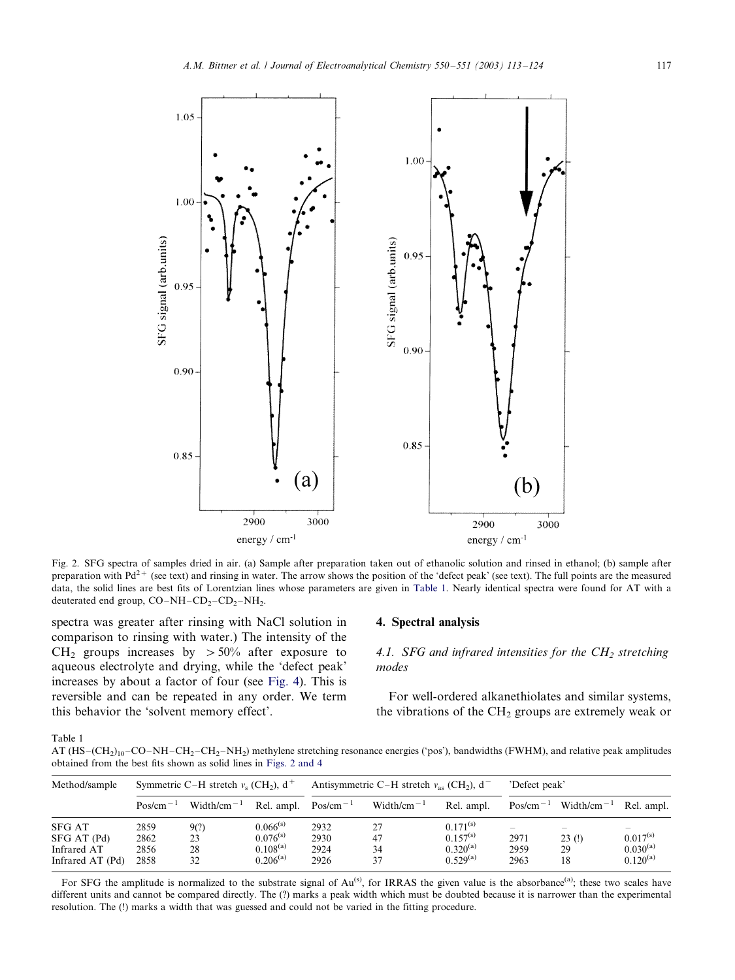<span id="page-4-0"></span>

Fig. 2. SFG spectra of samples dried in air. (a) Sample after preparation taken out of ethanolic solution and rinsed in ethanol; (b) sample after preparation with  $Pd^{2+}$  (see text) and rinsing in water. The arrow shows the position of the 'defect peak' (see text). The full points are the measured data, the solid lines are best fits of Lorentzian lines whose parameters are given in Table 1. Nearly identical spectra were found for AT with a deuterated end group,  $CO-NH-CD_2-CD_2-NH_2$ .

spectra was greater after rinsing with NaCl solution in comparison to rinsing with water.) The intensity of the CH<sub>2</sub> groups increases by  $> 50\%$  after exposure to aqueous electrolyte and drying, while the 'defect peak' increases by about a factor of four (see [Fig. 4\)](#page-6-0). This is reversible and can be repeated in any order. We term this behavior the 'solvent memory effect'.

## 4. Spectral analysis

4.1. SFG and infrared intensities for the  $CH<sub>2</sub>$  stretching modes

For well-ordered alkanethiolates and similar systems, the vibrations of the  $CH<sub>2</sub>$  groups are extremely weak or

Table 1

AT  $(HS-(CH_2)_1_0-CO-NH-CH_2-CH_2-NH_2)$  methylene stretching resonance energies ('pos'), bandwidths (FWHM), and relative peak amplitudes obtained from the best fits shown as solid lines in Figs. 2 and 4

| Method/sample                                                   | Symmetric C-H stretch $v_s$ (CH <sub>2</sub> ), $d^+$ |                                     |                                                                  | Antisymmetric C-H stretch $v_{\text{as}}$ (CH <sub>2</sub> ), d <sup>-</sup> |                                     |                                                                  | 'Defect peak'                                          |                   |                                                 |
|-----------------------------------------------------------------|-------------------------------------------------------|-------------------------------------|------------------------------------------------------------------|------------------------------------------------------------------------------|-------------------------------------|------------------------------------------------------------------|--------------------------------------------------------|-------------------|-------------------------------------------------|
|                                                                 | $Pos/cm^{-1}$                                         | Width/cm <sup><math>-1</math></sup> | Rel. ampl. $Pos/cm^{-1}$                                         |                                                                              | Width/cm <sup><math>-1</math></sup> | Rel. ampl.                                                       | $Pos/cm^{-1}$                                          | $Width/cm-1$      | Rel. ampl.                                      |
| <b>SFG AT</b><br>SFG AT (Pd)<br>Infrared AT<br>Infrared AT (Pd) | 2859<br>2862<br>2856<br>2858                          | 9(?)<br>23<br>28<br>32              | $0.066^{(s)}$<br>$0.076^{(s)}$<br>$0.108^{(a)}$<br>$0.206^{(a)}$ | 2932<br>2930<br>2924<br>2926                                                 | 27<br>47<br>34<br>37                | $0.171^{(s)}$<br>$0.157^{(s)}$<br>$0.320^{(a)}$<br>$0.529^{(a)}$ | $\qquad \qquad \longleftarrow$<br>2971<br>2959<br>2963 | 23(!)<br>29<br>18 | $0.017^{(s)}$<br>$0.030^{(a)}$<br>$0.120^{(a)}$ |

For SFG the amplitude is normalized to the substrate signal of  $Au^{(s)}$ , for IRRAS the given value is the absorbance<sup>(a)</sup>; these two scales have different units and cannot be compared directly. The (?) marks a peak width which must be doubted because it is narrower than the experimental resolution. The (!) marks a width that was guessed and could not be varied in the fitting procedure.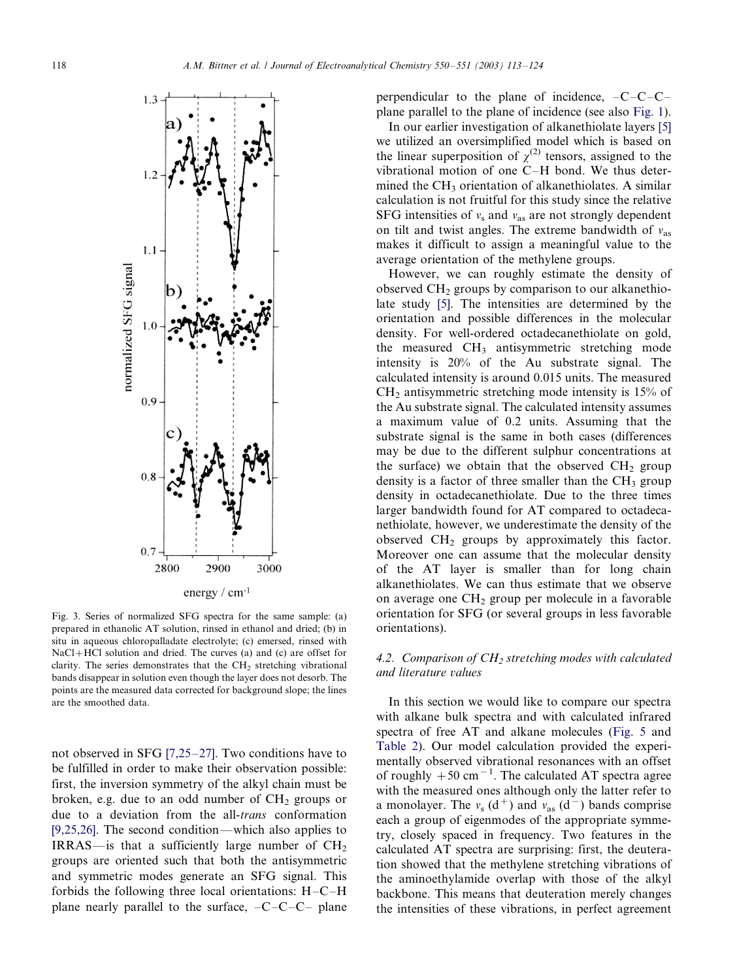<span id="page-5-0"></span>

Fig. 3. Series of normalized SFG spectra for the same sample: (a) prepared in ethanolic AT solution, rinsed in ethanol and dried; (b) in situ in aqueous chloropalladate electrolyte; (c) emersed, rinsed with NaCl+HCl solution and dried. The curves (a) and (c) are offset for clarity. The series demonstrates that the  $CH<sub>2</sub>$  stretching vibrational bands disappear in solution even though the layer does not desorb. The points are the measured data corrected for background slope; the lines are the smoothed data.

not observed in SFG  $[7,25-27]$  $[7,25-27]$ . Two conditions have to be fulfilled in order to make their observation possible: first, the inversion symmetry of the alkyl chain must be broken, e.g. due to an odd number of  $CH<sub>2</sub>$  groups or due to a deviation from the all-*trans* conformation [\[9,25,26\].](#page-10-0) The second condition—which also applies to IRRAS—is that a sufficiently large number of  $CH<sub>2</sub>$ groups are oriented such that both the antisymmetric and symmetric modes generate an SFG signal. This forbids the following three local orientations:  $H-C-H$ plane nearly parallel to the surface,  $-C-C-C$  plane

perpendicular to the plane of incidence,  $-C-C-C$ plane parallel to the plane of incidence (see also [Fig. 1\)](#page-2-0).

In our earlier investigation of alkanethiolate layers [\[5\]](#page-10-0) we utilized an oversimplified model which is based on the linear superposition of  $\chi^{(2)}$  tensors, assigned to the vibrational motion of one  $C-H$  bond. We thus determined the  $CH<sub>3</sub>$  orientation of alkanethiolates. A similar calculation is not fruitful for this study since the relative SFG intensities of  $v_s$  and  $v_{\text{as}}$  are not strongly dependent on tilt and twist angles. The extreme bandwidth of  $v_{as}$ makes it difficult to assign a meaningful value to the average orientation of the methylene groups.

However, we can roughly estimate the density of observed  $CH<sub>2</sub>$  groups by comparison to our alkanethiolate study [\[5\].](#page-10-0) The intensities are determined by the orientation and possible differences in the molecular density. For well-ordered octadecanethiolate on gold, the measured CH<sub>3</sub> antisymmetric stretching mode intensity is 20% of the Au substrate signal. The calculated intensity is around 0.015 units. The measured  $CH<sub>2</sub>$  antisymmetric stretching mode intensity is 15% of the Au substrate signal. The calculated intensity assumes a maximum value of 0.2 units. Assuming that the substrate signal is the same in both cases (differences may be due to the different sulphur concentrations at the surface) we obtain that the observed  $CH<sub>2</sub>$  group density is a factor of three smaller than the  $CH<sub>3</sub>$  group density in octadecanethiolate. Due to the three times larger bandwidth found for AT compared to octadecanethiolate, however, we underestimate the density of the observed  $CH<sub>2</sub>$  groups by approximately this factor. Moreover one can assume that the molecular density of the AT layer is smaller than for long chain alkanethiolates. We can thus estimate that we observe on average one  $CH<sub>2</sub>$  group per molecule in a favorable orientation for SFG (or several groups in less favorable orientations).

# 4.2. Comparison of  $CH<sub>2</sub>$  stretching modes with calculated and literature values

In this section we would like to compare our spectra with alkane bulk spectra and with calculated infrared spectra of free AT and alkane molecules [\(Fig. 5](#page-7-0) and [Table 2\)](#page-8-0). Our model calculation provided the experimentally observed vibrational resonances with an offset of roughly  $+50$  cm<sup>-1</sup>. The calculated AT spectra agree with the measured ones although only the latter refer to a monolayer. The  $v_s$  (d<sup>+</sup>) and  $v_{\text{as}}$  (d<sup>-</sup>) bands comprise each a group of eigenmodes of the appropriate symmetry, closely spaced in frequency. Two features in the calculated AT spectra are surprising: first, the deuteration showed that the methylene stretching vibrations of the aminoethylamide overlap with those of the alkyl backbone. This means that deuteration merely changes the intensities of these vibrations, in perfect agreement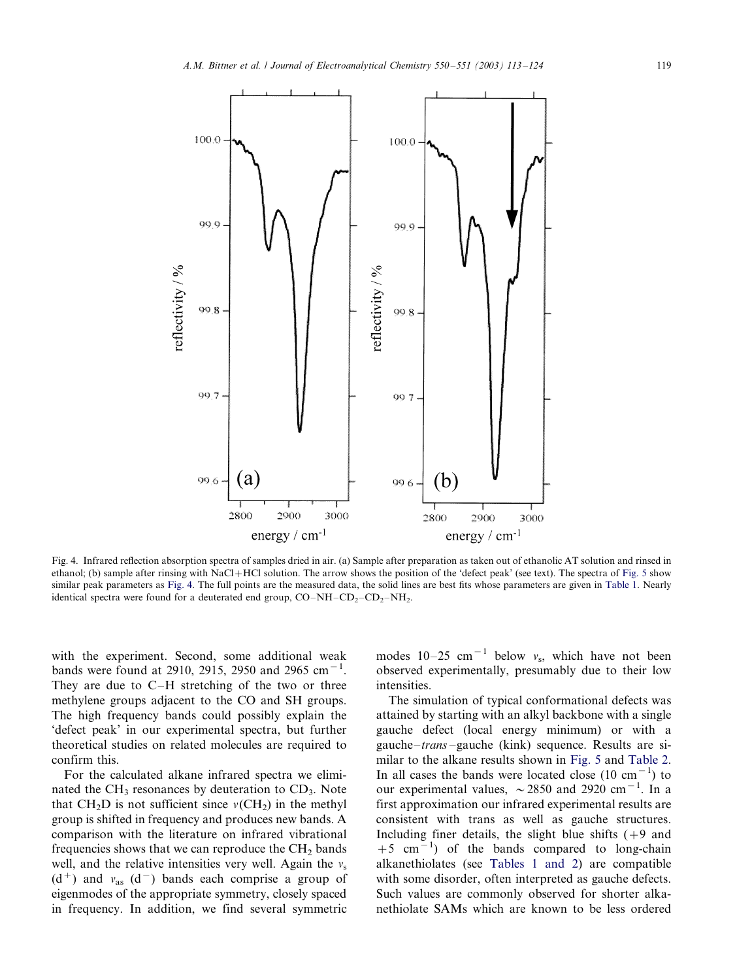

 $(b)$ 

2800

2900

energy / cm<sup>-1</sup>

 $99.6$ 

Fig. 4. Infrared reflection absorption spectra of samples dried in air. (a) Sample after preparation as taken out of ethanolic AT solution and rinsed in ethanol; (b) sample after rinsing with NaCl+HCl solution. The arrow shows the position of the 'defect peak' (see text). The spectra of [Fig. 5](#page-7-0) show similar peak parameters as Fig. 4. The full points are the measured data, the solid lines are best fits whose parameters are given in [Table 1](#page-4-0). Nearly identical spectra were found for a deuterated end group,  $CO-NH-CD_2-CD_2-NH_2$ .

3000

with the experiment. Second, some additional weak bands were found at 2910, 2915, 2950 and 2965 cm<sup>-1</sup>. They are due to  $C-H$  stretching of the two or three methylene groups adjacent to the CO and SH groups. The high frequency bands could possibly explain the 'defect peak' in our experimental spectra, but further theoretical studies on related molecules are required to confirm this.

<span id="page-6-0"></span>100.0

99.9

99.8

 $007$ 

**(a)** 

2800

2900

energy / cm<sup>-1</sup>

eflectivity / %

For the calculated alkane infrared spectra we eliminated the  $CH_3$  resonances by deuteration to  $CD_3$ . Note that  $CH<sub>2</sub>D$  is not sufficient since  $v(CH<sub>2</sub>)$  in the methyl group is shifted in frequency and produces new bands. A comparison with the literature on infrared vibrational frequencies shows that we can reproduce the  $CH<sub>2</sub>$  bands well, and the relative intensities very well. Again the  $v_s$  $(d<sup>+</sup>)$  and  $v_{as}$   $(d<sup>-</sup>)$  bands each comprise a group of eigenmodes of the appropriate symmetry, closely spaced in frequency. In addition, we find several symmetric modes  $10-25$  cm<sup>-1</sup> below  $v_s$ , which have not been observed experimentally, presumably due to their low intensities.

3000

The simulation of typical conformational defects was attained by starting with an alkyl backbone with a single gauche defect (local energy minimum) or with a gauche-*trans* -gauche (kink) sequence. Results are similar to the alkane results shown in [Fig. 5](#page-7-0) and [Table 2](#page-8-0). In all cases the bands were located close  $(10 \text{ cm}^{-1})$  to our experimental values,  $\sim$  2850 and 2920 cm<sup>-1</sup>. In a first approximation our infrared experimental results are consistent with trans as well as gauche structures. Including finer details, the slight blue shifts  $(+9 \text{ and }$  $+5$  cm<sup>-1</sup>) of the bands compared to long-chain alkanethiolates (see [Tables 1 and 2\)](#page-4-0) are compatible with some disorder, often interpreted as gauche defects. Such values are commonly observed for shorter alkanethiolate SAMs which are known to be less ordered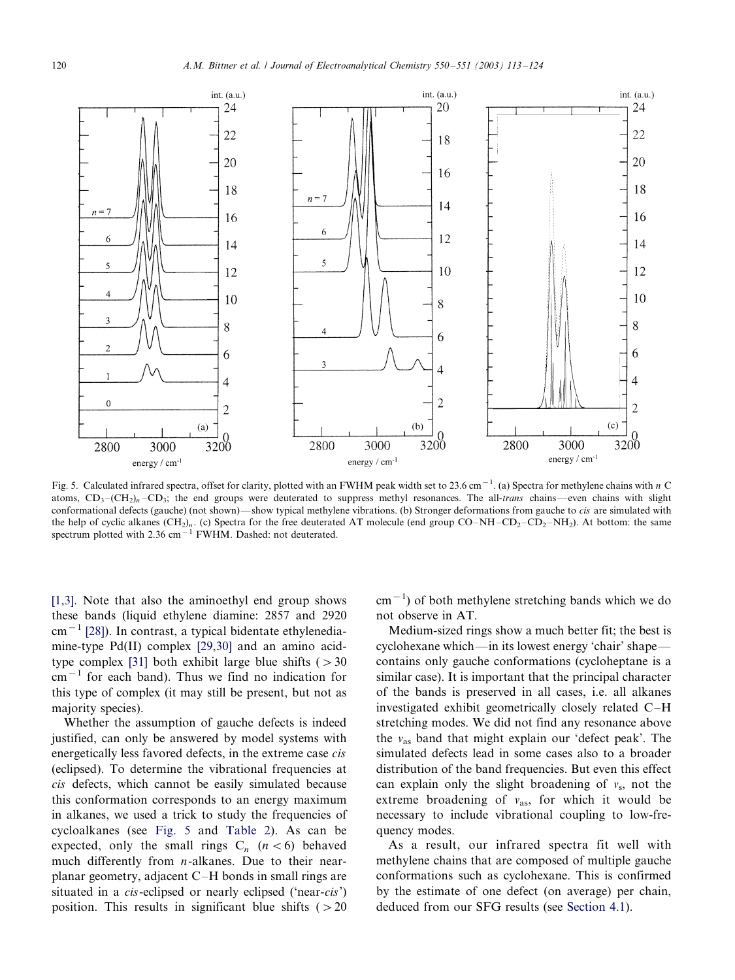<span id="page-7-0"></span>

Fig. 5. Calculated infrared spectra, offset for clarity, plotted with an FWHM peak width set to 23.6 cm<sup>-1</sup>. (a) Spectra for methylene chains with n C atoms,  $CD_3$ - $(CH_2)_n$ - $CD_3$ ; the end groups were deuterated to suppress methyl resonances. The all-trans chains -- even chains with slight conformational defects (gauche) (not shown)—show typical methylene vibrations. (b) Stronger deformations from gauche to *cis* are simulated with the help of cyclic alkanes  $(CH_2)_n$ . (c) Spectra for the free deuterated AT molecule (end group CO–NH–CD<sub>2</sub>–CD<sub>2</sub>–NH<sub>2</sub>). At bottom: the same spectrum plotted with  $2.36 \text{ cm}^{-1}$  FWHM. Dashed: not deuterated.

[\[1,3\].](#page-10-0) Note that also the aminoethyl end group shows these bands (liquid ethylene diamine: 2857 and 2920  $\text{cm}^{-1}$  [\[28\]\)](#page-11-0). In contrast, a typical bidentate ethylenediamine-type Pd(II) complex [\[29,30\]](#page-11-0) and an amino acid-type complex [\[31\]](#page-11-0) both exhibit large blue shifts  $( > 30$  $cm^{-1}$  for each band). Thus we find no indication for this type of complex (it may still be present, but not as majority species).

Whether the assumption of gauche defects is indeed justified, can only be answered by model systems with energetically less favored defects, in the extreme case cis (eclipsed). To determine the vibrational frequencies at cis defects, which cannot be easily simulated because this conformation corresponds to an energy maximum in alkanes, we used a trick to study the frequencies of cycloalkanes (see Fig. 5 and [Table 2](#page-8-0)). As can be expected, only the small rings  $C_n$  ( $n < 6$ ) behaved much differently from  $n$ -alkanes. Due to their nearplanar geometry, adjacent  $C-H$  bonds in small rings are situated in a *cis*-eclipsed or nearly eclipsed ('near-*cis*') position. This results in significant blue shifts  $( > 20$ 

 $\text{cm}^{-1}$ ) of both methylene stretching bands which we do not observe in AT.

Medium-sized rings show a much better fit; the best is cyclohexane which—in its lowest energy 'chair' shape contains only gauche conformations (cycloheptane is a similar case). It is important that the principal character of the bands is preserved in all cases, i.e. all alkanes investigated exhibit geometrically closely related C-H stretching modes. We did not find any resonance above the  $v_{\text{as}}$  band that might explain our 'defect peak'. The simulated defects lead in some cases also to a broader distribution of the band frequencies. But even this effect can explain only the slight broadening of  $v_s$ , not the extreme broadening of  $v_{\text{as}}$ , for which it would be necessary to include vibrational coupling to low-frequency modes.

As a result, our infrared spectra fit well with methylene chains that are composed of multiple gauche conformations such as cyclohexane. This is confirmed by the estimate of one defect (on average) per chain, deduced from our SFG results (see [Section 4.1\)](#page-4-0).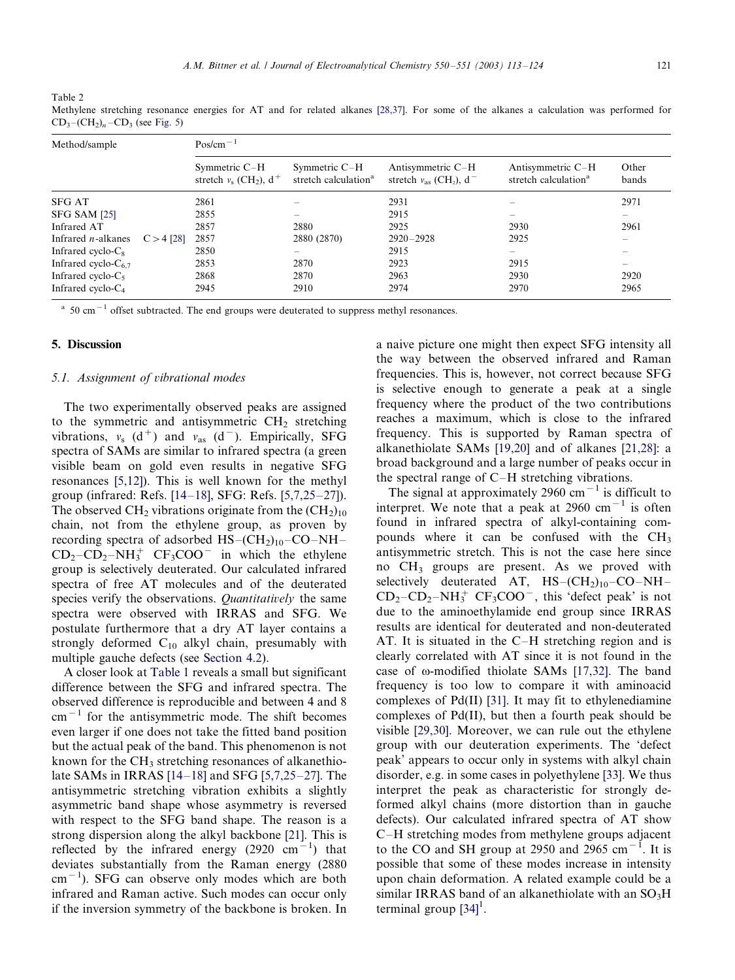<span id="page-8-0"></span>Table 2

| Method/sample             |              | $Pos/cm^{-1}$                                            |                                                     |                                                                     |                                                       |                |  |  |  |  |
|---------------------------|--------------|----------------------------------------------------------|-----------------------------------------------------|---------------------------------------------------------------------|-------------------------------------------------------|----------------|--|--|--|--|
|                           |              | Symmetric C-H<br>stretch $v_s$ (CH <sub>2</sub> ), $d^+$ | Symmetric $C-H$<br>stretch calculation <sup>a</sup> | Antisymmetric C-H<br>stretch $v_{\rm as}$ (CH <sub>2</sub> ), $d^-$ | Antisymmetric C-H<br>stretch calculation <sup>a</sup> | Other<br>bands |  |  |  |  |
| <b>SFG AT</b>             |              | 2861                                                     |                                                     | 2931                                                                |                                                       | 2971           |  |  |  |  |
| SFG SAM [25]              |              | 2855                                                     |                                                     | 2915                                                                |                                                       |                |  |  |  |  |
| Infrared AT               |              | 2857                                                     | 2880                                                | 2925                                                                | 2930                                                  | 2961           |  |  |  |  |
| Infrared $n$ -alkanes     | $C > 4$ [28] | 2857                                                     | 2880 (2870)                                         | $2920 - 2928$                                                       | 2925                                                  | -              |  |  |  |  |
| Infrared cyclo- $C_8$     |              | 2850                                                     |                                                     | 2915                                                                | -                                                     |                |  |  |  |  |
| Infrared cyclo- $C_{6.7}$ |              | 2853                                                     | 2870                                                | 2923                                                                | 2915                                                  |                |  |  |  |  |
| Infrared cyclo- $C_5$     |              | 2868                                                     | 2870                                                | 2963                                                                | 2930                                                  | 2920           |  |  |  |  |
| Infrared cyclo- $C_4$     |              | 2945                                                     | 2910                                                | 2974                                                                | 2970                                                  | 2965           |  |  |  |  |

Methylene stretching resonance energies for AT and for related alkanes [\[28,37\]](#page-11-0). For some of the alkanes a calculation was performed for  $CD_3 - (CH_2)_n - CD_3$  (see [Fig. 5\)](#page-7-0)

 $a_{\text{1}}$  50 cm<sup>-1</sup> offset subtracted. The end groups were deuterated to suppress methyl resonances.

# 5. Discussion

### 5.1. Assignment of vibrational modes

The two experimentally observed peaks are assigned to the symmetric and antisymmetric  $CH<sub>2</sub>$  stretching vibrations,  $v_s$  (d<sup>+</sup>) and  $v_{as}$  (d<sup>-</sup>). Empirically, SFG spectra of SAMs are similar to infrared spectra (a green visible beam on gold even results in negative SFG resonances [\[5,12\]\)](#page-10-0). This is well known for the methyl group (infrared: Refs.  $[14–18]$  $[14–18]$ , SFG: Refs.  $[5,7,25–27]$  $[5,7,25–27]$ ). The observed  $CH_2$  vibrations originate from the  $(CH_2)_{10}$ chain, not from the ethylene group, as proven by recording spectra of adsorbed  $HS-(CH_2)_{10}-CO-NH CD_2$ - $CD_2$ - $NH_3^+$   $CF_3COO^-$  in which the ethylene group is selectively deuterated. Our calculated infrared spectra of free AT molecules and of the deuterated species verify the observations. *Quantitatively* the same spectra were observed with IRRAS and SFG. We postulate furthermore that a dry AT layer contains a strongly deformed  $C_{10}$  alkyl chain, presumably with multiple gauche defects (see [Section 4.2](#page-5-0)).

A closer look at [Table 1](#page-4-0) reveals a small but significant difference between the SFG and infrared spectra. The observed difference is reproducible and between 4 and 8  $cm^{-1}$  for the antisymmetric mode. The shift becomes even larger if one does not take the fitted band position but the actual peak of the band. This phenomenon is not known for the  $CH_3$  stretching resonances of alkanethiolate SAMs in IRRAS  $[14–18]$  $[14–18]$  and SFG  $[5,7,25–27]$  $[5,7,25–27]$ . The antisymmetric stretching vibration exhibits a slightly asymmetric band shape whose asymmetry is reversed with respect to the SFG band shape. The reason is a strong dispersion along the alkyl backbone [\[21\]](#page-11-0). This is reflected by the infrared energy (2920  $\text{cm}^{-1}$ ) that deviates substantially from the Raman energy (2880  $\text{cm}^{-1}$ ). SFG can observe only modes which are both infrared and Raman active. Such modes can occur only if the inversion symmetry of the backbone is broken. In a naive picture one might then expect SFG intensity all the way between the observed infrared and Raman frequencies. This is, however, not correct because SFG is selective enough to generate a peak at a single frequency where the product of the two contributions reaches a maximum, which is close to the infrared frequency. This is supported by Raman spectra of alkanethiolate SAMs [\[19,20\]](#page-11-0) and of alkanes [\[21,28\]:](#page-11-0) a broad background and a large number of peaks occur in the spectral range of  $C-H$  stretching vibrations.

The signal at approximately 2960 cm<sup> $-1$ </sup> is difficult to interpret. We note that a peak at 2960 cm<sup>-1</sup> is often found in infrared spectra of alkyl-containing compounds where it can be confused with the  $CH<sub>3</sub>$ antisymmetric stretch. This is not the case here since no CH<sub>3</sub> groups are present. As we proved with selectively deuterated AT,  $HS-(CH<sub>2</sub>)<sub>10</sub> - CO-NH CD_2$ - $CD_2$ - $NH_3^+$   $CF_3COO^-$ , this 'defect peak' is not due to the aminoethylamide end group since IRRAS results are identical for deuterated and non-deuterated AT. It is situated in the C $-H$  stretching region and is clearly correlated with AT since it is not found in the case of  $\omega$ -modified thiolate SAMs [\[17,32\].](#page-11-0) The band frequency is too low to compare it with aminoacid complexes of Pd(II) [\[31\]](#page-11-0). It may fit to ethylenediamine complexes of Pd(II), but then a fourth peak should be visible [\[29,30\].](#page-11-0) Moreover, we can rule out the ethylene group with our deuteration experiments. The 'defect peak' appears to occur only in systems with alkyl chain disorder, e.g. in some cases in polyethylene [\[33\].](#page-11-0) We thus interpret the peak as characteristic for strongly deformed alkyl chains (more distortion than in gauche defects). Our calculated infrared spectra of AT show C-H stretching modes from methylene groups adjacent to the CO and SH group at 2950 and 2965  $\text{cm}^{-1}$ . It is possible that some of these modes increase in intensity upon chain deformation. A related example could be a similar IRRAS band of an alkanethiolate with an  $SO_3H$ terminal group  $[34]$ <sup>1</sup>.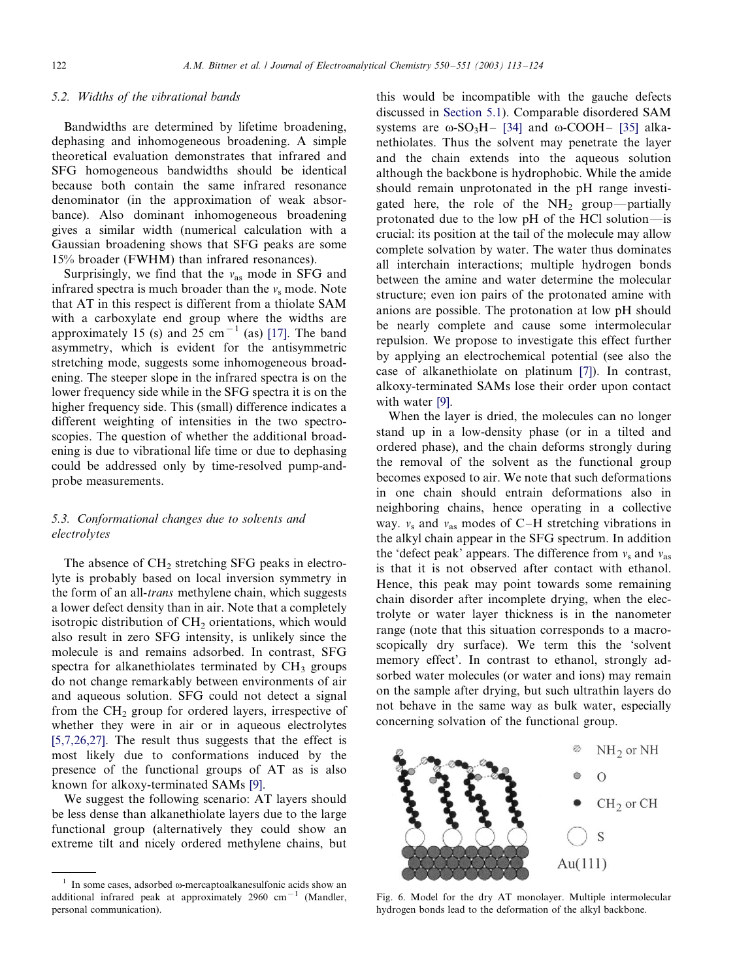## <span id="page-9-0"></span>5.2. Widths of the vibrational bands

Bandwidths are determined by lifetime broadening, dephasing and inhomogeneous broadening. A simple theoretical evaluation demonstrates that infrared and SFG homogeneous bandwidths should be identical because both contain the same infrared resonance denominator (in the approximation of weak absorbance). Also dominant inhomogeneous broadening gives a similar width (numerical calculation with a Gaussian broadening shows that SFG peaks are some 15% broader (FWHM) than infrared resonances).

Surprisingly, we find that the  $v_{as}$  mode in SFG and infrared spectra is much broader than the  $v_s$  mode. Note that AT in this respect is different from a thiolate SAM with a carboxylate end group where the widths are approximately 15 (s) and  $25 \text{ cm}^{-1}$  (as) [\[17\]](#page-11-0). The band asymmetry, which is evident for the antisymmetric stretching mode, suggests some inhomogeneous broadening. The steeper slope in the infrared spectra is on the lower frequency side while in the SFG spectra it is on the higher frequency side. This (small) difference indicates a different weighting of intensities in the two spectroscopies. The question of whether the additional broadening is due to vibrational life time or due to dephasing could be addressed only by time-resolved pump-andprobe measurements.

# 5.3. Conformational changes due to solvents and electrolytes

The absence of  $CH<sub>2</sub>$  stretching SFG peaks in electrolyte is probably based on local inversion symmetry in the form of an all-trans methylene chain, which suggests a lower defect density than in air. Note that a completely isotropic distribution of  $CH<sub>2</sub>$  orientations, which would also result in zero SFG intensity, is unlikely since the molecule is and remains adsorbed. In contrast, SFG spectra for alkanethiolates terminated by  $CH<sub>3</sub>$  groups do not change remarkably between environments of air and aqueous solution. SFG could not detect a signal from the  $CH<sub>2</sub>$  group for ordered layers, irrespective of whether they were in air or in aqueous electrolytes [\[5,7,26,27\]](#page-10-0). The result thus suggests that the effect is most likely due to conformations induced by the presence of the functional groups of AT as is also known for alkoxy-terminated SAMs [\[9\].](#page-10-0)

We suggest the following scenario: AT layers should be less dense than alkanethiolate layers due to the large functional group (alternatively they could show an extreme tilt and nicely ordered methylene chains, but

this would be incompatible with the gauche defects discussed in [Section 5.1\)](#page-8-0). Comparable disordered SAM systems are  $\omega$ -SO<sub>3</sub>H– [\[34\]](#page-11-0) and  $\omega$ -COOH– [\[35\]](#page-11-0) alkanethiolates. Thus the solvent may penetrate the layer and the chain extends into the aqueous solution although the backbone is hydrophobic. While the amide should remain unprotonated in the pH range investigated here, the role of the  $NH<sub>2</sub>$  group--partially protonated due to the low pH of the HCl solution—is crucial: its position at the tail of the molecule may allow complete solvation by water. The water thus dominates all interchain interactions; multiple hydrogen bonds between the amine and water determine the molecular structure; even ion pairs of the protonated amine with anions are possible. The protonation at low pH should be nearly complete and cause some intermolecular repulsion. We propose to investigate this effect further by applying an electrochemical potential (see also the case of alkanethiolate on platinum [\[7\]\)](#page-10-0). In contrast, alkoxy-terminated SAMs lose their order upon contact with water [\[9\]](#page-10-0).

When the layer is dried, the molecules can no longer stand up in a low-density phase (or in a tilted and ordered phase), and the chain deforms strongly during the removal of the solvent as the functional group becomes exposed to air. We note that such deformations in one chain should entrain deformations also in neighboring chains, hence operating in a collective way.  $v_s$  and  $v_{as}$  modes of C-H stretching vibrations in the alkyl chain appear in the SFG spectrum. In addition the 'defect peak' appears. The difference from  $v_s$  and  $v_{\text{as}}$ is that it is not observed after contact with ethanol. Hence, this peak may point towards some remaining chain disorder after incomplete drying, when the electrolyte or water layer thickness is in the nanometer range (note that this situation corresponds to a macroscopically dry surface). We term this the 'solvent memory effect'. In contrast to ethanol, strongly adsorbed water molecules (or water and ions) may remain on the sample after drying, but such ultrathin layers do not behave in the same way as bulk water, especially concerning solvation of the functional group.



Fig. 6. Model for the dry AT monolayer. Multiple intermolecular hydrogen bonds lead to the deformation of the alkyl backbone.

 $1$  In some cases, adsorbed  $\omega$ -mercaptoalkanesulfonic acids show an additional infrared peak at approximately 2960 cm<sup>-1</sup> (Mandler, personal communication).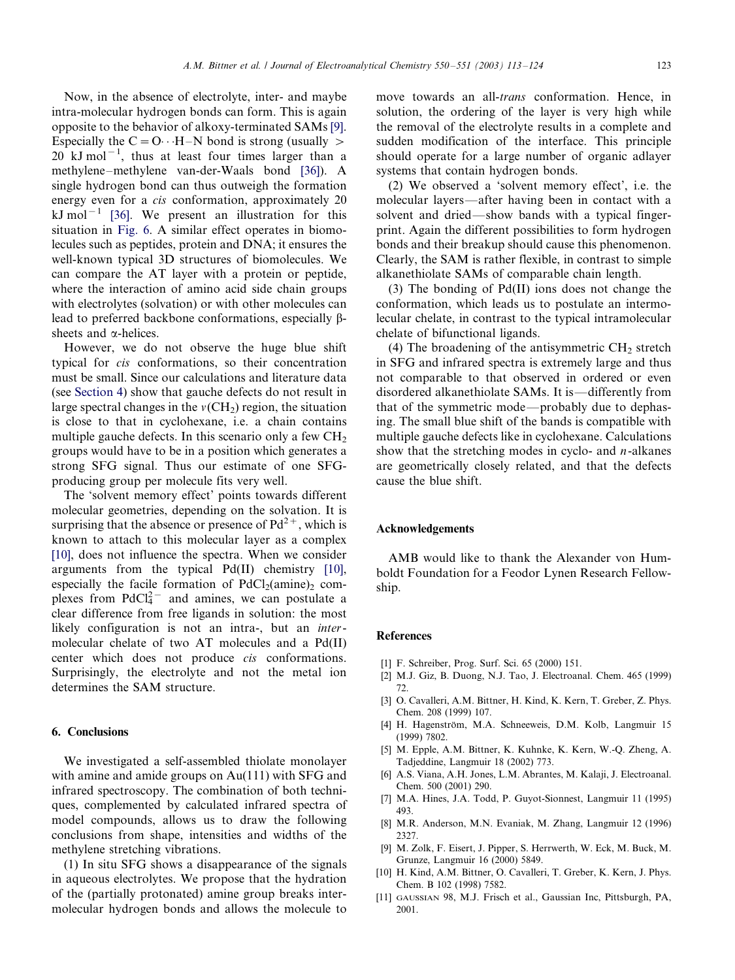<span id="page-10-0"></span>Now, in the absence of electrolyte, inter- and maybe intra-molecular hydrogen bonds can form. This is again opposite to the behavior of alkoxy-terminated SAMs [9]. Especially the  $C = O \cdot H - N$  bond is strong (usually  $>$  $20$  kJ mol<sup>-1</sup>, thus at least four times larger than a methylene-methylene van-der-Waals bond [\[36\]](#page-11-0)). A single hydrogen bond can thus outweigh the formation energy even for a *cis* conformation, approximately 20 kJ mol<sup>-1</sup> [\[36\].](#page-11-0) We present an illustration for this situation in [Fig. 6.](#page-9-0) A similar effect operates in biomolecules such as peptides, protein and DNA; it ensures the well-known typical 3D structures of biomolecules. We can compare the AT layer with a protein or peptide, where the interaction of amino acid side chain groups with electrolytes (solvation) or with other molecules can lead to preferred backbone conformations, especially βsheets and  $\alpha$ -helices.

However, we do not observe the huge blue shift typical for cis conformations, so their concentration must be small. Since our calculations and literature data (see [Section 4\)](#page-4-0) show that gauche defects do not result in large spectral changes in the  $v(CH_2)$  region, the situation is close to that in cyclohexane, i.e. a chain contains multiple gauche defects. In this scenario only a few  $CH<sub>2</sub>$ groups would have to be in a position which generates a strong SFG signal. Thus our estimate of one SFGproducing group per molecule fits very well.

The 'solvent memory effect' points towards different molecular geometries, depending on the solvation. It is surprising that the absence or presence of  $Pd^{2+}$ , which is known to attach to this molecular layer as a complex [10], does not influence the spectra. When we consider arguments from the typical Pd(II) chemistry [10], especially the facile formation of  $PdCl<sub>2</sub>(amine)<sub>2</sub>$  complexes from  $PdCl<sub>4</sub><sup>2</sup>$  and amines, we can postulate a clear difference from free ligands in solution: the most likely configuration is not an intra-, but an intermolecular chelate of two AT molecules and a Pd(II) center which does not produce cis conformations. Surprisingly, the electrolyte and not the metal ion determines the SAM structure.

## 6. Conclusions

We investigated a self-assembled thiolate monolayer with amine and amide groups on Au(111) with SFG and infrared spectroscopy. The combination of both techniques, complemented by calculated infrared spectra of model compounds, allows us to draw the following conclusions from shape, intensities and widths of the methylene stretching vibrations.

(1) In situ SFG shows a disappearance of the signals in aqueous electrolytes. We propose that the hydration of the (partially protonated) amine group breaks intermolecular hydrogen bonds and allows the molecule to

move towards an all-trans conformation. Hence, in solution, the ordering of the layer is very high while the removal of the electrolyte results in a complete and sudden modification of the interface. This principle should operate for a large number of organic adlayer systems that contain hydrogen bonds.

(2) We observed a 'solvent memory effect', i.e. the molecular layers—after having been in contact with a solvent and dried—show bands with a typical fingerprint. Again the different possibilities to form hydrogen bonds and their breakup should cause this phenomenon. Clearly, the SAM is rather flexible, in contrast to simple alkanethiolate SAMs of comparable chain length.

(3) The bonding of Pd(II) ions does not change the conformation, which leads us to postulate an intermolecular chelate, in contrast to the typical intramolecular chelate of bifunctional ligands.

(4) The broadening of the antisymmetric  $CH<sub>2</sub>$  stretch in SFG and infrared spectra is extremely large and thus not comparable to that observed in ordered or even disordered alkanethiolate SAMs. It is-differently from that of the symmetric mode—probably due to dephasing. The small blue shift of the bands is compatible with multiple gauche defects like in cyclohexane. Calculations show that the stretching modes in cyclo- and  $n$ -alkanes are geometrically closely related, and that the defects cause the blue shift.

# Acknowledgements

AMB would like to thank the Alexander von Humboldt Foundation for a Feodor Lynen Research Fellowship.

#### **References**

- [1] F. Schreiber, Prog. Surf. Sci. 65 (2000) 151.
- [2] M.J. Giz, B. Duong, N.J. Tao, J. Electroanal. Chem. 465 (1999) 72.
- [3] O. Cavalleri, A.M. Bittner, H. Kind, K. Kern, T. Greber, Z. Phys. Chem. 208 (1999) 107.
- [4] H. Hagenström, M.A. Schneeweis, D.M. Kolb, Langmuir 15 (1999) 7802.
- [5] M. Epple, A.M. Bittner, K. Kuhnke, K. Kern, W.-Q. Zheng, A. Tadjeddine, Langmuir 18 (2002) 773.
- [6] A.S. Viana, A.H. Jones, L.M. Abrantes, M. Kalaji, J. Electroanal. Chem. 500 (2001) 290.
- [7] M.A. Hines, J.A. Todd, P. Guyot-Sionnest, Langmuir 11 (1995) 493.
- [8] M.R. Anderson, M.N. Evaniak, M. Zhang, Langmuir 12 (1996) 2327.
- [9] M. Zolk, F. Eisert, J. Pipper, S. Herrwerth, W. Eck, M. Buck, M. Grunze, Langmuir 16 (2000) 5849.
- [10] H. Kind, A.M. Bittner, O. Cavalleri, T. Greber, K. Kern, J. Phys. Chem. B 102 (1998) 7582.
- [11] GAUSSIAN 98, M.J. Frisch et al., Gaussian Inc, Pittsburgh, PA, 2001.